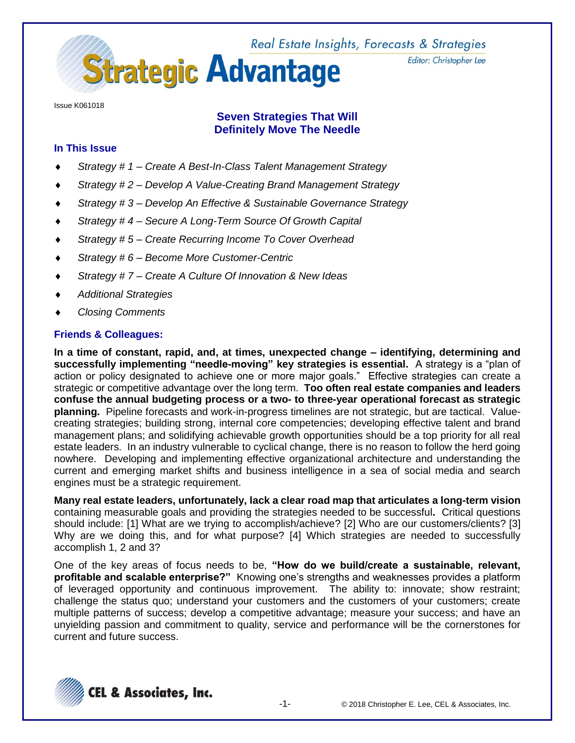Real Estate Insights, Forecasts & Strategies



Editor: Christopher Lee

Issue K061018

# **Seven Strategies That Will Definitely Move The Needle**

# **In This Issue**

- *Strategy # 1 – Create A Best-In-Class Talent Management Strategy*
- *Strategy # 2 – Develop A Value-Creating Brand Management Strategy*
- *Strategy # 3 – Develop An Effective & Sustainable Governance Strategy*
- *Strategy # 4 – Secure A Long-Term Source Of Growth Capital*
- *Strategy # 5 – Create Recurring Income To Cover Overhead*
- *Strategy # 6 – Become More Customer-Centric*
- *Strategy # 7 – Create A Culture Of Innovation & New Ideas*
- *Additional Strategies*
- *Closing Comments*

# **Friends & Colleagues:**

**In a time of constant, rapid, and, at times, unexpected change – identifying, determining and successfully implementing "needle-moving" key strategies is essential.** A strategy is a "plan of action or policy designated to achieve one or more major goals." Effective strategies can create a strategic or competitive advantage over the long term. **Too often real estate companies and leaders confuse the annual budgeting process or a two- to three-year operational forecast as strategic planning.** Pipeline forecasts and work-in-progress timelines are not strategic, but are tactical. Valuecreating strategies; building strong, internal core competencies; developing effective talent and brand management plans; and solidifying achievable growth opportunities should be a top priority for all real estate leaders. In an industry vulnerable to cyclical change, there is no reason to follow the herd going nowhere. Developing and implementing effective organizational architecture and understanding the current and emerging market shifts and business intelligence in a sea of social media and search engines must be a strategic requirement.

**Many real estate leaders, unfortunately, lack a clear road map that articulates a long-term vision** containing measurable goals and providing the strategies needed to be successful**.** Critical questions should include: [1] What are we trying to accomplish/achieve? [2] Who are our customers/clients? [3] Why are we doing this, and for what purpose? [4] Which strategies are needed to successfully accomplish 1, 2 and 3?

One of the key areas of focus needs to be, **"How do we build/create a sustainable, relevant, profitable and scalable enterprise?"** Knowing one's strengths and weaknesses provides a platform of leveraged opportunity and continuous improvement. The ability to: innovate; show restraint; challenge the status quo; understand your customers and the customers of your customers; create multiple patterns of success; develop a competitive advantage; measure your success; and have an unyielding passion and commitment to quality, service and performance will be the cornerstones for current and future success.

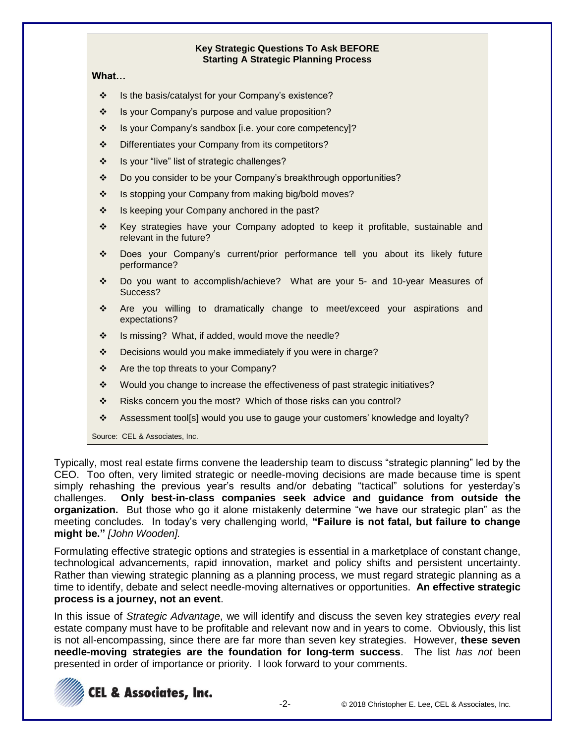### **Key Strategic Questions To Ask BEFORE Starting A Strategic Planning Process**

### **What…**

- ❖ Is the basis/catalyst for your Company's existence?
- ❖ Is your Company's purpose and value proposition?
- ❖ Is your Company's sandbox [i.e. your core competency]?
- ❖ Differentiates your Company from its competitors?
- ❖ Is your "live" list of strategic challenges?
- ❖ Do you consider to be your Company's breakthrough opportunities?
- ❖ Is stopping your Company from making big/bold moves?
- ❖ Is keeping your Company anchored in the past?
- ❖ Key strategies have your Company adopted to keep it profitable, sustainable and relevant in the future?
- ❖ Does your Company's current/prior performance tell you about its likely future performance?
- ❖ Do you want to accomplish/achieve? What are your 5- and 10-year Measures of Success?
- ❖ Are you willing to dramatically change to meet/exceed your aspirations and expectations?
- ❖ Is missing? What, if added, would move the needle?
- ❖ Decisions would you make immediately if you were in charge?
- ❖ Are the top threats to your Company?
- ❖ Would you change to increase the effectiveness of past strategic initiatives?
- ❖ Risks concern you the most? Which of those risks can you control?
- ❖ Assessment tool[s] would you use to gauge your customers' knowledge and loyalty?

Source: CEL & Associates, Inc.

Typically, most real estate firms convene the leadership team to discuss "strategic planning" led by the CEO. Too often, very limited strategic or needle-moving decisions are made because time is spent simply rehashing the previous year's results and/or debating "tactical" solutions for yesterday's challenges. **Only best-in-class companies seek advice and guidance from outside the organization.** But those who go it alone mistakenly determine "we have our strategic plan" as the meeting concludes. In today's very challenging world, **"Failure is not fatal, but failure to change might be."** *[John Wooden].*

Formulating effective strategic options and strategies is essential in a marketplace of constant change, technological advancements, rapid innovation, market and policy shifts and persistent uncertainty. Rather than viewing strategic planning as a planning process, we must regard strategic planning as a time to identify, debate and select needle-moving alternatives or opportunities. **An effective strategic process is a journey, not an event**.

In this issue of *Strategic Advantage*, we will identify and discuss the seven key strategies *every* real estate company must have to be profitable and relevant now and in years to come. Obviously, this list is not all-encompassing, since there are far more than seven key strategies. However, **these seven needle-moving strategies are the foundation for long-term success**. The list *has not* been presented in order of importance or priority. I look forward to your comments.

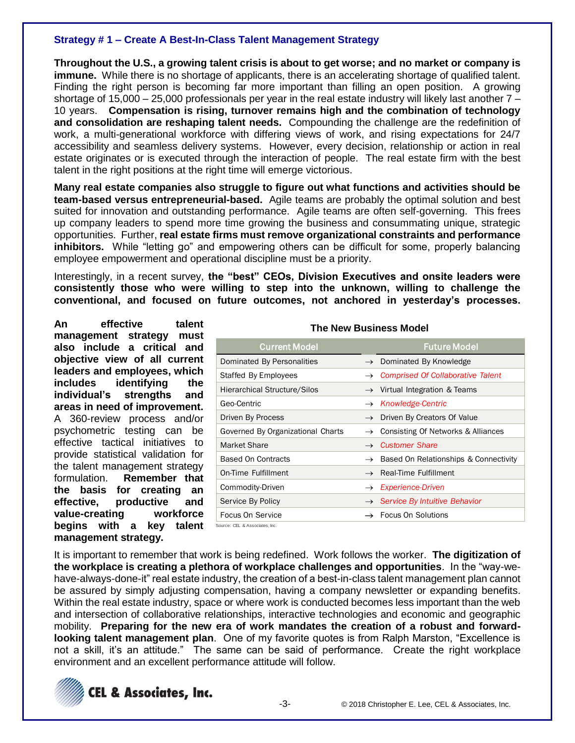# **Strategy # 1 – Create A Best-In-Class Talent Management Strategy**

**Throughout the U.S., a growing talent crisis is about to get worse; and no market or company is immune.** While there is no shortage of applicants, there is an accelerating shortage of qualified talent. Finding the right person is becoming far more important than filling an open position. A growing shortage of 15,000 – 25,000 professionals per year in the real estate industry will likely last another  $7 -$ 10 years. **Compensation is rising, turnover remains high and the combination of technology and consolidation are reshaping talent needs.** Compounding the challenge are the redefinition of work, a multi-generational workforce with differing views of work, and rising expectations for 24/7 accessibility and seamless delivery systems. However, every decision, relationship or action in real estate originates or is executed through the interaction of people. The real estate firm with the best talent in the right positions at the right time will emerge victorious.

**Many real estate companies also struggle to figure out what functions and activities should be team-based versus entrepreneurial-based.** Agile teams are probably the optimal solution and best suited for innovation and outstanding performance. Agile teams are often self-governing. This frees up company leaders to spend more time growing the business and consummating unique, strategic opportunities. Further, **real estate firms must remove organizational constraints and performance inhibitors.** While "letting go" and empowering others can be difficult for some, properly balancing employee empowerment and operational discipline must be a priority.

Interestingly, in a recent survey, **the "best" CEOs, Division Executives and onsite leaders were consistently those who were willing to step into the unknown, willing to challenge the conventional, and focused on future outcomes, not anchored in yesterday's processes.**

**An effective talent management strategy must also include a critical and objective view of all current leaders and employees, which includes identifying the individual's strengths and areas in need of improvement.**  A 360-review process and/or psychometric testing can be effective tactical initiatives to provide statistical validation for the talent management strategy formulation. **Remember that the basis for creating an effective, productive and value-creating workforce begins with a key talent management strategy.**

|  | <b>The New Business Model</b> |  |
|--|-------------------------------|--|
|  |                               |  |

| <b>Current Model</b>                |               | <b>Future Model</b>                             |
|-------------------------------------|---------------|-------------------------------------------------|
| Dominated By Personalities          | $\rightarrow$ | Dominated By Knowledge                          |
| Staffed By Employees                |               | $\rightarrow$ Comprised Of Collaborative Talent |
| <b>Hierarchical Structure/Silos</b> |               | $\rightarrow$ Virtual Integration & Teams       |
| Geo-Centric                         |               | $\rightarrow$ Knowledge-Centric                 |
| Driven By Process                   | $\rightarrow$ | Driven By Creators Of Value                     |
| Governed By Organizational Charts   | $\rightarrow$ | Consisting Of Networks & Alliances              |
| Market Share                        | $\rightarrow$ | <b>Customer Share</b>                           |
| <b>Based On Contracts</b>           | $\rightarrow$ | Based On Relationships & Connectivity           |
| On-Time Fulfillment                 | $\rightarrow$ | Real-Time Fulfillment                           |
| Commodity-Driven                    | $\rightarrow$ | <i>Experience-Driven</i>                        |
| Service By Policy                   |               | $\rightarrow$ Service By Intuitive Behavior     |
| Focus On Service                    |               | $\rightarrow$ Focus On Solutions                |
| Source: CEL & Associates, Inc.      |               |                                                 |

It is important to remember that work is being redefined. Work follows the worker. **The digitization of the workplace is creating a plethora of workplace challenges and opportunities**. In the "way-wehave-always-done-it" real estate industry, the creation of a best-in-class talent management plan cannot be assured by simply adjusting compensation, having a company newsletter or expanding benefits. Within the real estate industry, space or where work is conducted becomes less important than the web and intersection of collaborative relationships, interactive technologies and economic and geographic mobility. **Preparing for the new era of work mandates the creation of a robust and forwardlooking talent management plan**. One of my favorite quotes is from Ralph Marston, "Excellence is not a skill, it's an attitude." The same can be said of performance. Create the right workplace environment and an excellent performance attitude will follow.

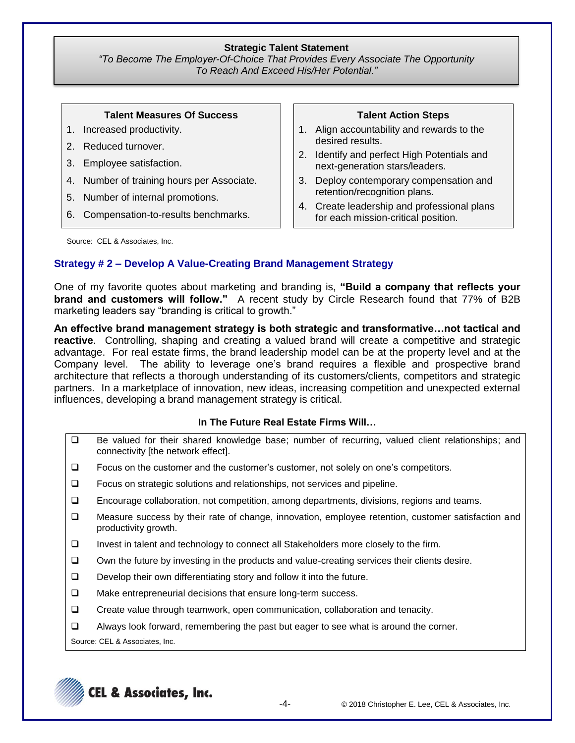### **Strategic Talent Statement**

*"To Become The Employer-Of-Choice That Provides Every Associate The Opportunity To Reach And Exceed His/Her Potential."*

#### **Talent Measures Of Success**

- 1. Increased productivity.
- 2. Reduced turnover.
- 3. Employee satisfaction.
- 4. Number of training hours per Associate.
- 5. Number of internal promotions.
- 6. Compensation-to-results benchmarks.

#### **Talent Action Steps**

- 1. Align accountability and rewards to the desired results.
- 2. Identify and perfect High Potentials and next-generation stars/leaders.
- 3. Deploy contemporary compensation and retention/recognition plans.
- 4. Create leadership and professional plans for each mission-critical position.

Source: CEL & Associates, Inc.

# **Strategy # 2 – Develop A Value-Creating Brand Management Strategy**

One of my favorite quotes about marketing and branding is, **"Build a company that reflects your brand and customers will follow."** A recent study by Circle Research found that 77% of B2B marketing leaders say "branding is critical to growth."

**An effective brand management strategy is both strategic and transformative…not tactical and reactive**. Controlling, shaping and creating a valued brand will create a competitive and strategic advantage. For real estate firms, the brand leadership model can be at the property level and at the Company level. The ability to leverage one's brand requires a flexible and prospective brand architecture that reflects a thorough understanding of its customers/clients, competitors and strategic partners. In a marketplace of innovation, new ideas, increasing competition and unexpected external influences, developing a brand management strategy is critical.

## **In The Future Real Estate Firms Will…**

- □ Be valued for their shared knowledge base; number of recurring, valued client relationships; and connectivity [the network effect].
- $\Box$  Focus on the customer and the customer's customer, not solely on one's competitors.
- □ Focus on strategic solutions and relationships, not services and pipeline.
- Encourage collaboration, not competition, among departments, divisions, regions and teams.
- Measure success by their rate of change, innovation, employee retention, customer satisfaction and productivity growth.
- $\Box$  Invest in talent and technology to connect all Stakeholders more closely to the firm.
- $\Box$  Own the future by investing in the products and value-creating services their clients desire.
- $\Box$  Develop their own differentiating story and follow it into the future.
- □ Make entrepreneurial decisions that ensure long-term success.
- Create value through teamwork, open communication, collaboration and tenacity.
- $\Box$  Always look forward, remembering the past but eager to see what is around the corner.

Source: CEL & Associates, Inc.

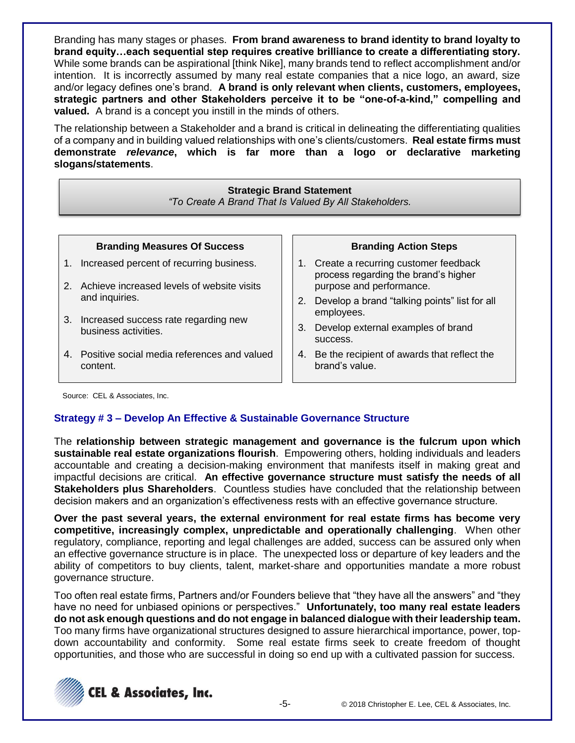Branding has many stages or phases. **From brand awareness to brand identity to brand loyalty to brand equity…each sequential step requires creative brilliance to create a differentiating story.** While some brands can be aspirational [think Nike], many brands tend to reflect accomplishment and/or intention. It is incorrectly assumed by many real estate companies that a nice logo, an award, size and/or legacy defines one's brand. **A brand is only relevant when clients, customers, employees, strategic partners and other Stakeholders perceive it to be "one-of-a-kind," compelling and valued.** A brand is a concept you instill in the minds of others.

The relationship between a Stakeholder and a brand is critical in delineating the differentiating qualities of a company and in building valued relationships with one's clients/customers. **Real estate firms must demonstrate** *relevance***, which is far more than a logo or declarative marketing slogans/statements**.

#### **Strategic Brand Statement**

*"To Create A Brand That Is Valued By All Stakeholders.*

| <b>Branding Measures Of Success</b>                       |    | Bra                            |
|-----------------------------------------------------------|----|--------------------------------|
| 1. Increased percent of recurring business.               |    | 1. Create a red<br>process reg |
| 2. Achieve increased levels of website visits             |    | purpose and                    |
| and inquiries.<br>3. Increased success rate regarding new |    | 2. Develop a b<br>employees.   |
| business activities.                                      | 3. | Develop ext<br>success.        |
| 4. Positive social media references and valued            | 4. | Be the recip                   |

#### **Branding Action Steps**

- curring customer feedback arding the brand's higher d performance.
- rand "talking points" list for all
- ernal examples of brand
- ient of awards that reflect the brand's value.

Source: CEL & Associates, Inc.

content.

# **Strategy # 3 – Develop An Effective & Sustainable Governance Structure**

The **relationship between strategic management and governance is the fulcrum upon which sustainable real estate organizations flourish**. Empowering others, holding individuals and leaders accountable and creating a decision-making environment that manifests itself in making great and impactful decisions are critical. **An effective governance structure must satisfy the needs of all Stakeholders plus Shareholders**. Countless studies have concluded that the relationship between decision makers and an organization's effectiveness rests with an effective governance structure.

**Over the past several years, the external environment for real estate firms has become very competitive, increasingly complex, unpredictable and operationally challenging**. When other regulatory, compliance, reporting and legal challenges are added, success can be assured only when an effective governance structure is in place. The unexpected loss or departure of key leaders and the ability of competitors to buy clients, talent, market-share and opportunities mandate a more robust governance structure.

Too often real estate firms, Partners and/or Founders believe that "they have all the answers" and "they have no need for unbiased opinions or perspectives." **Unfortunately, too many real estate leaders do not ask enough questions and do not engage in balanced dialogue with their leadership team.** Too many firms have organizational structures designed to assure hierarchical importance, power, topdown accountability and conformity. Some real estate firms seek to create freedom of thought opportunities, and those who are successful in doing so end up with a cultivated passion for success.

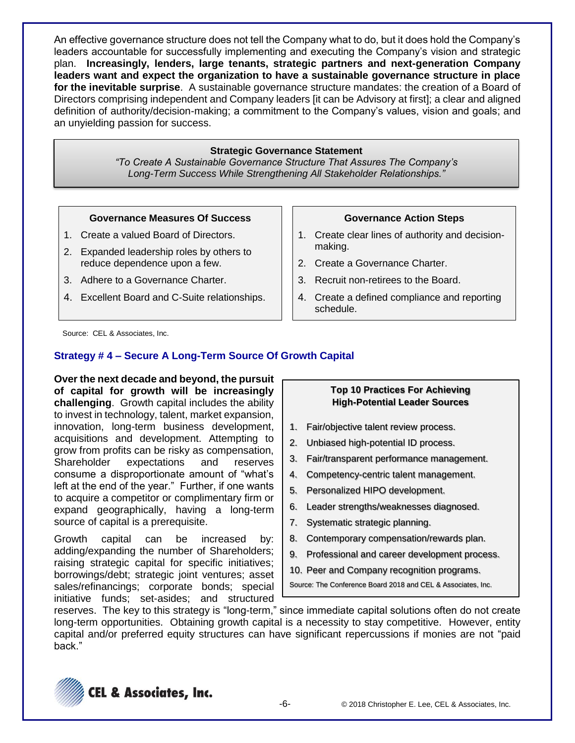An effective governance structure does not tell the Company what to do, but it does hold the Company's leaders accountable for successfully implementing and executing the Company's vision and strategic plan. **Increasingly, lenders, large tenants, strategic partners and next-generation Company leaders want and expect the organization to have a sustainable governance structure in place for the inevitable surprise**. A sustainable governance structure mandates: the creation of a Board of Directors comprising independent and Company leaders [it can be Advisory at first]; a clear and aligned definition of authority/decision-making; a commitment to the Company's values, vision and goals; and an unyielding passion for success.

### **Strategic Governance Statement**

*"To Create A Sustainable Governance Structure That Assures The Company's Long-Term Success While Strengthening All Stakeholder Relationships."*

#### **Governance Measures Of Success**

- 1. Create a valued Board of Directors.
- 2. Expanded leadership roles by others to reduce dependence upon a few.
- 3. Adhere to a Governance Charter.
- 4. Excellent Board and C-Suite relationships.

#### **Governance Action Steps**

- 1. Create clear lines of authority and decisionmaking.
- 2. Create a Governance Charter.
- 3. Recruit non-retirees to the Board.
- 4. Create a defined compliance and reporting schedule.

Source: CEL & Associates, Inc.

# **Strategy # 4 – Secure A Long-Term Source Of Growth Capital**

**Over the next decade and beyond, the pursuit of capital for growth will be increasingly challenging**. Growth capital includes the ability to invest in technology, talent, market expansion, innovation, long-term business development, acquisitions and development. Attempting to grow from profits can be risky as compensation, Shareholder expectations and reserves consume a disproportionate amount of "what's left at the end of the year." Further, if one wants to acquire a competitor or complimentary firm or expand geographically, having a long-term source of capital is a prerequisite.

Growth capital can be increased by: adding/expanding the number of Shareholders; raising strategic capital for specific initiatives; borrowings/debt; strategic joint ventures; asset sales/refinancings; corporate bonds; special initiative funds; set-asides; and structured

### **Top 10 Practices For Achieving High-Potential Leader Sources**

- 1. Fair/objective talent review process.
- 2. Unbiased high-potential ID process.
- 3. Fair/transparent performance management.
- 4. Competency-centric talent management.
- 5. Personalized HIPO development.
- 6. Leader strengths/weaknesses diagnosed.
- 7. Systematic strategic planning.
- 8. Contemporary compensation/rewards plan.
- 9. Professional and career development process.
- 10. Peer and Company recognition programs.

Source: The Conference Board 2018 and CEL & Associates, Inc.

reserves. The key to this strategy is "long-term," since immediate capital solutions often do not create long-term opportunities. Obtaining growth capital is a necessity to stay competitive. However, entity capital and/or preferred equity structures can have significant repercussions if monies are not "paid back."

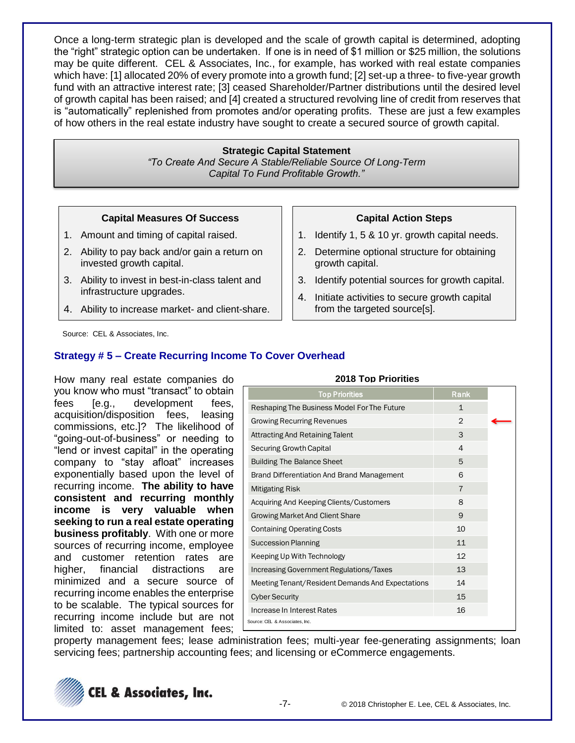Once a long-term strategic plan is developed and the scale of growth capital is determined, adopting the "right" strategic option can be undertaken. If one is in need of \$1 million or \$25 million, the solutions may be quite different. CEL & Associates, Inc., for example, has worked with real estate companies which have: [1] allocated 20% of every promote into a growth fund; [2] set-up a three- to five-year growth fund with an attractive interest rate; [3] ceased Shareholder/Partner distributions until the desired level of growth capital has been raised; and [4] created a structured revolving line of credit from reserves that is "automatically" replenished from promotes and/or operating profits. These are just a few examples of how others in the real estate industry have sought to create a secured source of growth capital.

#### **Strategic Capital Statement**

*"To Create And Secure A Stable/Reliable Source Of Long-Term Capital To Fund Profitable Growth."*

#### **Capital Measures Of Success**

- 1. Amount and timing of capital raised.
- 2. Ability to pay back and/or gain a return on invested growth capital.
- 3. Ability to invest in best-in-class talent and infrastructure upgrades.
- 4. Ability to increase market- and client-share.

#### **Capital Action Steps**

- 1. Identify 1, 5 & 10 yr. growth capital needs.
- 2. Determine optional structure for obtaining growth capital.
- 3. Identify potential sources for growth capital.
- 4. Initiate activities to secure growth capital from the targeted source[s].

Source: CEL & Associates, Inc.

# **Strategy # 5 – Create Recurring Income To Cover Overhead**

How many real estate companies do you know who must "transact" to obtain fees [e.g., development fees, acquisition/disposition fees, leasing commissions, etc.]? The likelihood of "going-out-of-business" or needing to "lend or invest capital" in the operating company to "stay afloat" increases exponentially based upon the level of recurring income. **The ability to have consistent and recurring monthly income is very valuable when seeking to run a real estate operating business profitably**. With one or more sources of recurring income, employee and customer retention rates are higher, financial distractions are minimized and a secure source of recurring income enables the enterprise to be scalable. The typical sources for recurring income include but are not limited to: asset management fees;

| <b>Top Priorities</b>                            | Rank           |  |
|--------------------------------------------------|----------------|--|
| Reshaping The Business Model For The Future      | 1              |  |
| <b>Growing Recurring Revenues</b>                | 2              |  |
| <b>Attracting And Retaining Talent</b>           | 3              |  |
| <b>Securing Growth Capital</b>                   | $\overline{4}$ |  |
| <b>Building The Balance Sheet</b>                | 5              |  |
| Brand Differentiation And Brand Management       | 6              |  |
| <b>Mitigating Risk</b>                           | $\overline{7}$ |  |
| Acquiring And Keeping Clients/Customers          | 8              |  |
| <b>Growing Market And Client Share</b>           | 9              |  |
| <b>Containing Operating Costs</b>                | 10             |  |
| <b>Succession Planning</b>                       | 11             |  |
| Keeping Up With Technology                       | 12             |  |
| <b>Increasing Government Regulations/Taxes</b>   | 13             |  |
| Meeting Tenant/Resident Demands And Expectations | 14             |  |
| <b>Cyber Security</b>                            | 15             |  |
| Increase In Interest Rates                       | 16             |  |
| Source: CEL & Associates, Inc.                   |                |  |

**2018 Top Priorities**

property management fees; lease administration fees; multi-year fee-generating assignments; loan servicing fees; partnership accounting fees; and licensing or eCommerce engagements.

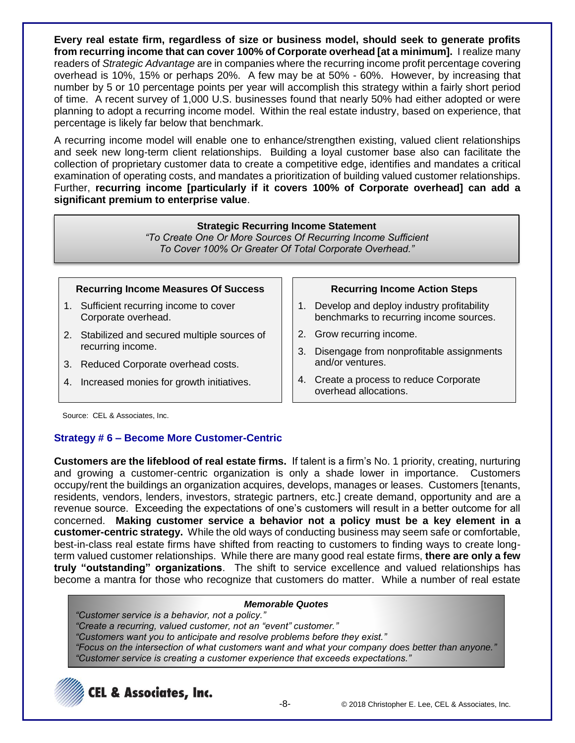**Every real estate firm, regardless of size or business model, should seek to generate profits from recurring income that can cover 100% of Corporate overhead [at a minimum].** I realize many readers of *Strategic Advantage* are in companies where the recurring income profit percentage covering overhead is 10%, 15% or perhaps 20%. A few may be at 50% - 60%. However, by increasing that number by 5 or 10 percentage points per year will accomplish this strategy within a fairly short period of time. A recent survey of 1,000 U.S. businesses found that nearly 50% had either adopted or were planning to adopt a recurring income model. Within the real estate industry, based on experience, that percentage is likely far below that benchmark.

A recurring income model will enable one to enhance/strengthen existing, valued client relationships and seek new long-term client relationships. Building a loyal customer base also can facilitate the collection of proprietary customer data to create a competitive edge, identifies and mandates a critical examination of operating costs, and mandates a prioritization of building valued customer relationships. Further, **recurring income [particularly if it covers 100% of Corporate overhead] can add a significant premium to enterprise value**.

# **Strategic Recurring Income Statement**

*"To Create One Or More Sources Of Recurring Income Sufficient To Cover 100% Or Greater Of Total Corporate Overhead."*

### **Recurring Income Measures Of Success**

- 1. Sufficient recurring income to cover Corporate overhead.
- 2. Stabilized and secured multiple sources of recurring income.
- 3. Reduced Corporate overhead costs.
- 4. Increased monies for growth initiatives.

# **Recurring Income Action Steps**

- 1. Develop and deploy industry profitability benchmarks to recurring income sources.
- 2. Grow recurring income.
- 3. Disengage from nonprofitable assignments and/or ventures.
- 4. Create a process to reduce Corporate overhead allocations.

Source: CEL & Associates, Inc.

# **Strategy # 6 – Become More Customer-Centric**

**Customers are the lifeblood of real estate firms.** If talent is a firm's No. 1 priority, creating, nurturing and growing a customer-centric organization is only a shade lower in importance. Customers occupy/rent the buildings an organization acquires, develops, manages or leases. Customers [tenants, residents, vendors, lenders, investors, strategic partners, etc.] create demand, opportunity and are a revenue source. Exceeding the expectations of one's customers will result in a better outcome for all concerned. **Making customer service a behavior not a policy must be a key element in a customer-centric strategy.** While the old ways of conducting business may seem safe or comfortable, best-in-class real estate firms have shifted from reacting to customers to finding ways to create longterm valued customer relationships. While there are many good real estate firms, **there are only a few truly "outstanding" organizations**. The shift to service excellence and valued relationships has become a mantra for those who recognize that customers do matter. While a number of real estate

### *Memorable Quotes*

*"Customer service is a behavior, not a policy." "Create a recurring, valued customer, not an "event" customer." "Customers want you to anticipate and resolve problems before they exist." "Focus on the intersection of what customers want and what your company does better than anyone." "Customer service is creating a customer experience that exceeds expectations."*

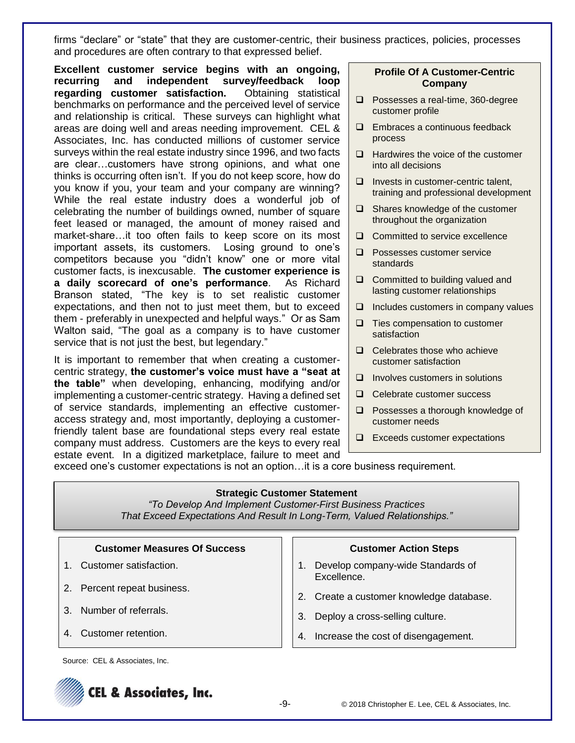firms "declare" or "state" that they are customer-centric, their business practices, policies, processes and procedures are often contrary to that expressed belief.

**Excellent customer service begins with an ongoing, recurring and independent survey/feedback loop regarding customer satisfaction.** Obtaining statistical benchmarks on performance and the perceived level of service and relationship is critical. These surveys can highlight what areas are doing well and areas needing improvement. CEL & Associates, Inc. has conducted millions of customer service surveys within the real estate industry since 1996, and two facts are clear…customers have strong opinions, and what one thinks is occurring often isn't. If you do not keep score, how do you know if you, your team and your company are winning? While the real estate industry does a wonderful job of celebrating the number of buildings owned, number of square feet leased or managed, the amount of money raised and market-share…it too often fails to keep score on its most important assets, its customers. Losing ground to one's competitors because you "didn't know" one or more vital customer facts, is inexcusable. **The customer experience is a daily scorecard of one's performance**. As Richard Branson stated, "The key is to set realistic customer expectations, and then not to just meet them, but to exceed them - preferably in unexpected and helpful ways." Or as Sam Walton said, "The goal as a company is to have customer service that is not just the best, but legendary."

It is important to remember that when creating a customercentric strategy, **the customer's voice must have a "seat at the table"** when developing, enhancing, modifying and/or implementing a customer-centric strategy. Having a defined set of service standards, implementing an effective customeraccess strategy and, most importantly, deploying a customerfriendly talent base are foundational steps every real estate company must address. Customers are the keys to every real estate event. In a digitized marketplace, failure to meet and

#### **Profile Of A Customer-Centric Company**

- □ Possesses a real-time, 360-degree customer profile
- **Embraces a continuous feedback** process
- $\Box$  Hardwires the voice of the customer into all decisions
- $\Box$  Invests in customer-centric talent, training and professional development
- $\Box$  Shares knowledge of the customer throughout the organization
- □ Committed to service excellence
- **Q** Possesses customer service standards
- □ Committed to building valued and lasting customer relationships
- $\Box$  Includes customers in company values
- $\Box$  Ties compensation to customer satisfaction
- $\Box$  Celebrates those who achieve customer satisfaction
- $\Box$  Involves customers in solutions
- □ Celebrate customer success
- □ Possesses a thorough knowledge of customer needs
- $\Box$  Exceeds customer expectations

Source: CEL & Associates, Inc. (2008). The Associates of Associates, Inc. (2008). The Associates of Associates

exceed one's customer expectations is not an option…it is a core business requirement.

#### **Strategic Customer Statement**

*"To Develop And Implement Customer-First Business Practices That Exceed Expectations And Result In Long-Term, Valued Relationships."*

| <b>Customer Measures Of Success</b> | <b>Customer Action Steps</b>                     |
|-------------------------------------|--------------------------------------------------|
| Customer satisfaction.              | Develop company-wide Standards of<br>Excellence. |
| Percent repeat business.<br>2.      | 2. Create a customer knowledge database.         |
| 3. Number of referrals.             | Deploy a cross-selling culture.<br>3.            |
| Customer retention.<br>4            | Increase the cost of disengagement.              |

Source: CEL & Associates, Inc.

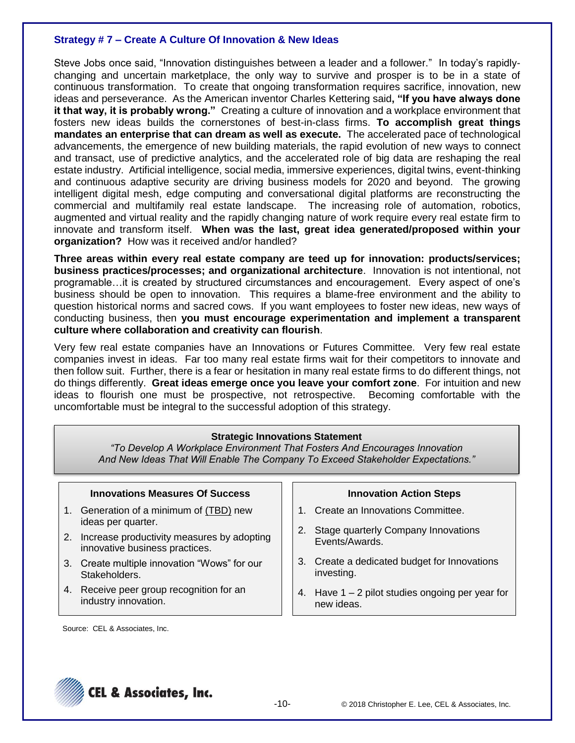# **Strategy # 7 – Create A Culture Of Innovation & New Ideas**

Steve Jobs once said, "Innovation distinguishes between a leader and a follower." In today's rapidlychanging and uncertain marketplace, the only way to survive and prosper is to be in a state of continuous transformation. To create that ongoing transformation requires sacrifice, innovation, new ideas and perseverance. As the American inventor Charles Kettering said**, "If you have always done it that way, it is probably wrong."** Creating a culture of innovation and a workplace environment that fosters new ideas builds the cornerstones of best-in-class firms. **To accomplish great things mandates an enterprise that can dream as well as execute.** The accelerated pace of technological advancements, the emergence of new building materials, the rapid evolution of new ways to connect and transact, use of predictive analytics, and the accelerated role of big data are reshaping the real estate industry. Artificial intelligence, social media, immersive experiences, digital twins, event-thinking and continuous adaptive security are driving business models for 2020 and beyond. The growing intelligent digital mesh, edge computing and conversational digital platforms are reconstructing the commercial and multifamily real estate landscape. The increasing role of automation, robotics, augmented and virtual reality and the rapidly changing nature of work require every real estate firm to innovate and transform itself. **When was the last, great idea generated/proposed within your organization?** How was it received and/or handled?

**Three areas within every real estate company are teed up for innovation: products/services; business practices/processes; and organizational architecture**. Innovation is not intentional, not programable…it is created by structured circumstances and encouragement. Every aspect of one's business should be open to innovation. This requires a blame-free environment and the ability to question historical norms and sacred cows. If you want employees to foster new ideas, new ways of conducting business, then **you must encourage experimentation and implement a transparent culture where collaboration and creativity can flourish**.

Very few real estate companies have an Innovations or Futures Committee. Very few real estate companies invest in ideas. Far too many real estate firms wait for their competitors to innovate and then follow suit. Further, there is a fear or hesitation in many real estate firms to do different things, not do things differently. **Great ideas emerge once you leave your comfort zone**. For intuition and new ideas to flourish one must be prospective, not retrospective. Becoming comfortable with the uncomfortable must be integral to the successful adoption of this strategy.

### **Strategic Innovations Statement**

*"To Develop A Workplace Environment That Fosters And Encourages Innovation And New Ideas That Will Enable The Company To Exceed Stakeholder Expectations."*

| <b>Innovations Measures Of Success</b> |                                                                                 |    | <b>Innovation Action Steps</b>                                   |
|----------------------------------------|---------------------------------------------------------------------------------|----|------------------------------------------------------------------|
|                                        | 1. Generation of a minimum of (TBD) new<br>ideas per quarter.                   |    | 1. Create an Innovations Committee.                              |
|                                        | 2. Increase productivity measures by adopting<br>innovative business practices. | 2. | Stage quarterly Company Innovations<br>Events/Awards.            |
|                                        | 3. Create multiple innovation "Wows" for our<br>Stakeholders.                   |    | 3. Create a dedicated budget for Innovations<br>investing.       |
|                                        | 4. Receive peer group recognition for an<br>industry innovation.                |    | 4. Have $1 - 2$ pilot studies ongoing per year for<br>new ideas. |

Source: CEL & Associates, Inc.

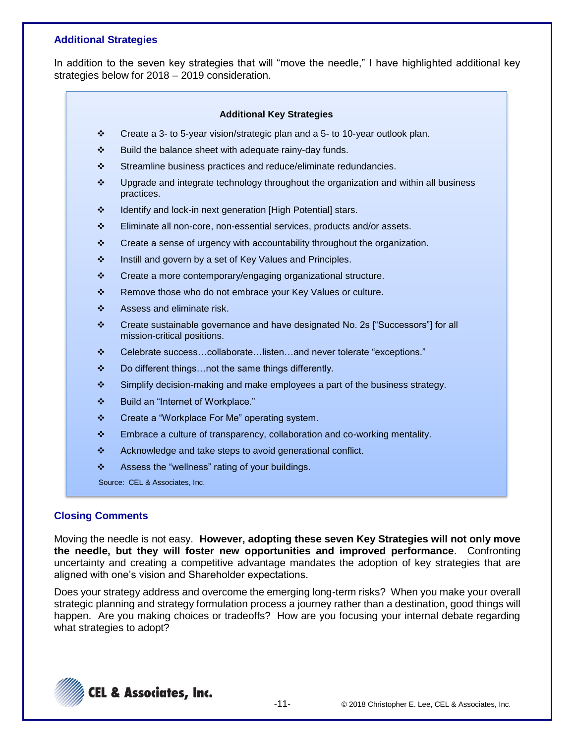# **Additional Strategies**

In addition to the seven key strategies that will "move the needle," I have highlighted additional key strategies below for 2018 – 2019 consideration.

#### **Additional Key Strategies**

- ❖ Create a 3- to 5-year vision/strategic plan and a 5- to 10-year outlook plan.
- ❖ Build the balance sheet with adequate rainy-day funds.
- ❖ Streamline business practices and reduce/eliminate redundancies.
- ❖ Upgrade and integrate technology throughout the organization and within all business practices.
- ❖ Identify and lock-in next generation [High Potential] stars.
- ❖ Eliminate all non-core, non-essential services, products and/or assets.
- ❖ Create a sense of urgency with accountability throughout the organization.
- ❖ Instill and govern by a set of Key Values and Principles.
- ❖ Create a more contemporary/engaging organizational structure.
- ❖ Remove those who do not embrace your Key Values or culture.
- ❖ Assess and eliminate risk.
- ❖ Create sustainable governance and have designated No. 2s ["Successors"] for all mission-critical positions.
- ❖ Celebrate success…collaborate…listen…and never tolerate "exceptions."
- $\mathbf{\hat{P}}$  Do different things... not the same things differently.
- ❖ Simplify decision-making and make employees a part of the business strategy.
- ❖ Build an "Internet of Workplace."
- ❖ Create a "Workplace For Me" operating system.
- ❖ Embrace a culture of transparency, collaboration and co-working mentality.
- ❖ Acknowledge and take steps to avoid generational conflict.
- $\mathbf{\hat{P}}$  Assess the "wellness" rating of your buildings.

Source: CEL & Associates, Inc.

### **Closing Comments**

Moving the needle is not easy. **However, adopting these seven Key Strategies will not only move the needle, but they will foster new opportunities and improved performance**. Confronting uncertainty and creating a competitive advantage mandates the adoption of key strategies that are aligned with one's vision and Shareholder expectations.

Does your strategy address and overcome the emerging long-term risks? When you make your overall strategic planning and strategy formulation process a journey rather than a destination, good things will happen. Are you making choices or tradeoffs? How are you focusing your internal debate regarding what strategies to adopt?

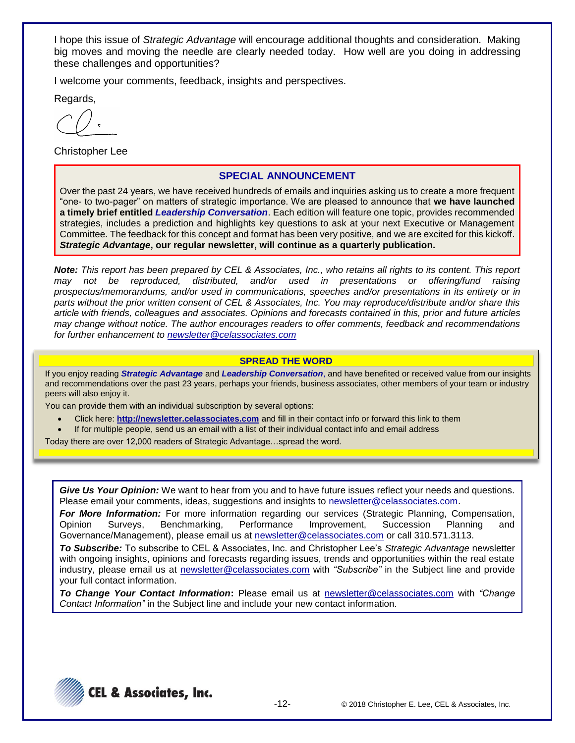I hope this issue of *Strategic Advantage* will encourage additional thoughts and consideration. Making big moves and moving the needle are clearly needed today. How well are you doing in addressing these challenges and opportunities?

I welcome your comments, feedback, insights and perspectives.

Regards,

Christopher Lee

### **SPECIAL ANNOUNCEMENT**

Over the past 24 years, we have received hundreds of emails and inquiries asking us to create a more frequent "one- to two-pager" on matters of strategic importance. We are pleased to announce that **we have launched a timely brief entitled** *Leadership Conversation*. Each edition will feature one topic, provides recommended strategies, includes a prediction and highlights key questions to ask at your next Executive or Management Committee. The feedback for this concept and format has been very positive, and we are excited for this kickoff. *Strategic Advantage***, our regular newsletter, will continue as a quarterly publication.**

*Note: This report has been prepared by CEL & Associates, Inc., who retains all rights to its content. This report may not be reproduced, distributed, and/or used in presentations or offering/fund raising prospectus/memorandums, and/or used in communications, speeches and/or presentations in its entirety or in parts without the prior written consent of CEL & Associates, Inc. You may reproduce/distribute and/or share this article with friends, colleagues and associates. Opinions and forecasts contained in this, prior and future articles may change without notice. The author encourages readers to offer comments, feedback and recommendations for further enhancement to [newsletter@celassociates.com](mailto:newsletter@celassociates.com)*

#### **SPREAD THE WORD**

If you enjoy reading *Strategic Advantage* and *Leadership Conversation*, and have benefited or received value from our insights and recommendations over the past 23 years, perhaps your friends, business associates, other members of your team or industry peers will also enjoy it.

You can provide them with an individual subscription by several options:

- Click here: **http://newsletter.celassociates.com** and fill in their contact info or forward this link to them
- If for multiple people, send us an email with a list of their individual contact info and email address

Today there are over 12,000 readers of Strategic Advantage…spread the word.

*Give Us Your Opinion:* We want to hear from you and to have future issues reflect your needs and questions. Please email your comments, ideas, suggestions and insights to newsletter@celassociates.com.

*For More Information:* For more information regarding our services (Strategic Planning, Compensation, Opinion Surveys, Benchmarking, Performance Improvement, Succession Planning and Governance/Management), please email us at newsletter@celassociates.com or call 310.571.3113.

*To Subscribe:* To subscribe to CEL & Associates, Inc. and Christopher Lee's *Strategic Advantage* newsletter with ongoing insights, opinions and forecasts regarding issues, trends and opportunities within the real estate industry, please email us at newsletter@celassociates.com with *"Subscribe"* in the Subject line and provide your full contact information.

*To Change Your Contact Information***:** Please email us at newsletter@celassociates.com with *"Change Contact Information"* in the Subject line and include your new contact information.